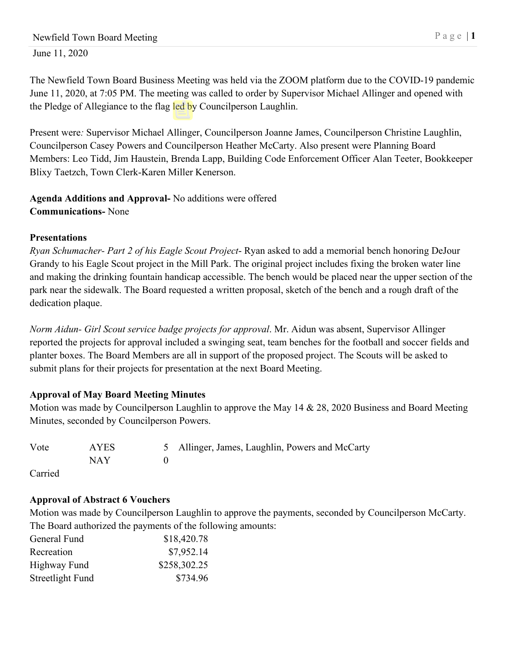The Newfield Town Board Business Meeting was held via the ZOOM platform due to the COVID-19 pandemic June 11, 2020, at 7:05 PM. The meeting was called to order by Supervisor Michael Allinger and opened with the Pledge of Allegiance to the flag led by Councilperson Laughlin.

Present were*:* Supervisor Michael Allinger, Councilperson Joanne James, Councilperson Christine Laughlin, Councilperson Casey Powers and Councilperson Heather McCarty. Also present were Planning Board Members: Leo Tidd, Jim Haustein, Brenda Lapp, Building Code Enforcement Officer Alan Teeter, Bookkeeper Blixy Taetzch, Town Clerk-Karen Miller Kenerson.

# **Agenda Additions and Approval-** No additions were offered **Communications-** None

# **Presentations**

*Ryan Schumacher- Part 2 of his Eagle Scout Project*- Ryan asked to add a memorial bench honoring DeJour Grandy to his Eagle Scout project in the Mill Park. The original project includes fixing the broken water line and making the drinking fountain handicap accessible. The bench would be placed near the upper section of the park near the sidewalk. The Board requested a written proposal, sketch of the bench and a rough draft of the dedication plaque.

*Norm Aidun- Girl Scout service badge projects for approval*. Mr. Aidun was absent, Supervisor Allinger reported the projects for approval included a swinging seat, team benches for the football and soccer fields and planter boxes. The Board Members are all in support of the proposed project. The Scouts will be asked to submit plans for their projects for presentation at the next Board Meeting.

## **Approval of May Board Meeting Minutes**

Motion was made by Councilperson Laughlin to approve the May 14 & 28, 2020 Business and Board Meeting Minutes, seconded by Councilperson Powers.

| Vote | AYES | 5 Allinger, James, Laughlin, Powers and McCarty |
|------|------|-------------------------------------------------|
|      | NAY  |                                                 |

Carried

# **Approval of Abstract 6 Vouchers**

Motion was made by Councilperson Laughlin to approve the payments, seconded by Councilperson McCarty. The Board authorized the payments of the following amounts:

| General Fund     | \$18,420.78  |
|------------------|--------------|
| Recreation       | \$7,952.14   |
| Highway Fund     | \$258,302.25 |
| Streetlight Fund | \$734.96     |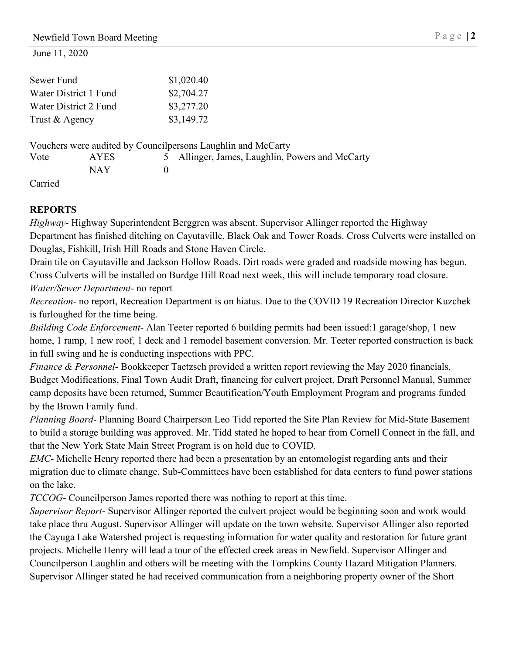| Sewer Fund     |                       | \$1,020.40                                                   |                                               |  |  |
|----------------|-----------------------|--------------------------------------------------------------|-----------------------------------------------|--|--|
|                | Water District 1 Fund | \$2,704.27                                                   |                                               |  |  |
|                | Water District 2 Fund | \$3,277.20                                                   |                                               |  |  |
| Trust & Agency |                       | \$3,149.72                                                   |                                               |  |  |
|                |                       | Vouchers were audited by Councilpersons Laughlin and McCarty |                                               |  |  |
| Vote           | AYES                  |                                                              | Allinger, James, Laughlin, Powers and McCarty |  |  |
|                | NAY.                  |                                                              |                                               |  |  |

Carried

## **REPORTS**

*Highway*- Highway Superintendent Berggren was absent. Supervisor Allinger reported the Highway Department has finished ditching on Cayutaville, Black Oak and Tower Roads. Cross Culverts were installed on Douglas, Fishkill, Irish Hill Roads and Stone Haven Circle.

Drain tile on Cayutaville and Jackson Hollow Roads. Dirt roads were graded and roadside mowing has begun. Cross Culverts will be installed on Burdge Hill Road next week, this will include temporary road closure.

*Water/Sewer Department*- no report

*Recreation*- no report, Recreation Department is on hiatus. Due to the COVID 19 Recreation Director Kuzchek is furloughed for the time being.

*Building Code Enforcement*- Alan Teeter reported 6 building permits had been issued:1 garage/shop, 1 new home, 1 ramp, 1 new roof, 1 deck and 1 remodel basement conversion. Mr. Teeter reported construction is back in full swing and he is conducting inspections with PPC.

*Finance & Personnel*- Bookkeeper Taetzsch provided a written report reviewing the May 2020 financials, Budget Modifications, Final Town Audit Draft, financing for culvert project, Draft Personnel Manual, Summer camp deposits have been returned, Summer Beautification/Youth Employment Program and programs funded by the Brown Family fund.

*Planning Board*- Planning Board Chairperson Leo Tidd reported the Site Plan Review for Mid-State Basement to build a storage building was approved. Mr. Tidd stated he hoped to hear from Cornell Connect in the fall, and that the New York State Main Street Program is on hold due to COVID.

*EMC*- Michelle Henry reported there had been a presentation by an entomologist regarding ants and their migration due to climate change. Sub-Committees have been established for data centers to fund power stations on the lake.

*TCCOG*- Councilperson James reported there was nothing to report at this time.

*Supervisor Report*- Supervisor Allinger reported the culvert project would be beginning soon and work would take place thru August. Supervisor Allinger will update on the town website. Supervisor Allinger also reported the Cayuga Lake Watershed project is requesting information for water quality and restoration for future grant projects. Michelle Henry will lead a tour of the effected creek areas in Newfield. Supervisor Allinger and Councilperson Laughlin and others will be meeting with the Tompkins County Hazard Mitigation Planners. Supervisor Allinger stated he had received communication from a neighboring property owner of the Short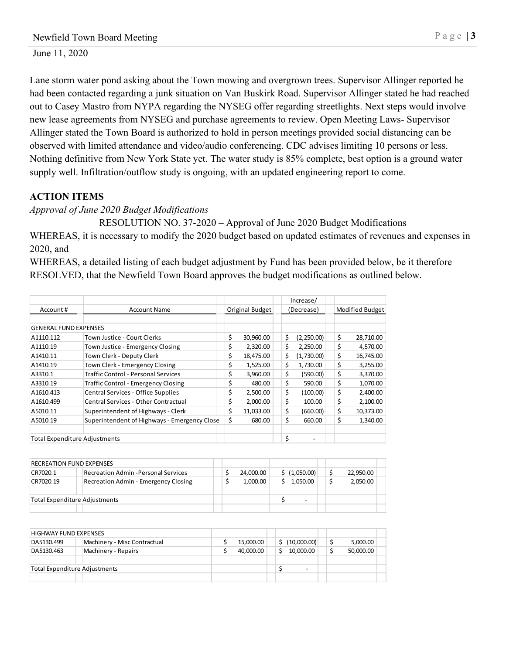Lane storm water pond asking about the Town mowing and overgrown trees. Supervisor Allinger reported he had been contacted regarding a junk situation on Van Buskirk Road. Supervisor Allinger stated he had reached out to Casey Mastro from NYPA regarding the NYSEG offer regarding streetlights. Next steps would involve new lease agreements from NYSEG and purchase agreements to review. Open Meeting Laws- Supervisor Allinger stated the Town Board is authorized to hold in person meetings provided social distancing can be observed with limited attendance and video/audio conferencing. CDC advises limiting 10 persons or less. Nothing definitive from New York State yet. The water study is 85% complete, best option is a ground water supply well. Infiltration/outflow study is ongoing, with an updated engineering report to come.

### **ACTION ITEMS**

*Approval of June 2020 Budget Modifications*

RESOLUTION NO. 37-2020 – Approval of June 2020 Budget Modifications WHEREAS, it is necessary to modify the 2020 budget based on updated estimates of revenues and expenses in 2020, and

WHEREAS, a detailed listing of each budget adjustment by Fund has been provided below, be it therefore RESOLVED, that the Newfield Town Board approves the budget modifications as outlined below.

|                                      |                                              |    |                 |     | Increase/  |    |                        |
|--------------------------------------|----------------------------------------------|----|-----------------|-----|------------|----|------------------------|
| Account #                            | <b>Account Name</b>                          |    | Original Budget |     | (Decrease) |    | <b>Modified Budget</b> |
|                                      |                                              |    |                 |     |            |    |                        |
| <b>GENERAL FUND EXPENSES</b>         |                                              |    |                 |     |            |    |                        |
| A1110.112                            | Town Justice - Court Clerks                  | \$ | 30,960.00       | \$  | (2,250.00) | \$ | 28,710.00              |
| A1110.19                             | Town Justice - Emergency Closing             | \$ | 2,320.00        | \$  | 2,250.00   | \$ | 4,570.00               |
| A1410.11                             | Town Clerk - Deputy Clerk                    | \$ | 18,475.00       | \$  | (1,730.00) | \$ | 16,745.00              |
| A1410.19                             | Town Clerk - Emergency Closing               | \$ | 1,525.00        | \$  | 1,730.00   | \$ | 3,255.00               |
| A3310.1                              | Traffic Control - Personal Services          | \$ | 3,960.00        | \$  | (590.00)   | \$ | 3,370.00               |
| A3310.19                             | <b>Traffic Control - Emergency Closing</b>   | \$ | 480.00          | \$. | 590.00     | \$ | 1,070.00               |
| A1610.413                            | Central Services - Office Supplies           | \$ | 2,500.00        | \$  | (100.00)   | \$ | 2,400.00               |
| A1610.499                            | Central Services - Other Contractual         | \$ | 2.000.00        | \$  | 100.00     | \$ | 2,100.00               |
| A5010.11                             | Superintendent of Highways - Clerk           | \$ | 11,033.00       | \$  | (660.00)   | \$ | 10,373.00              |
| A5010.19                             | Superintendent of Highways - Emergency Close | \$ | 680.00          | \$  | 660.00     | \$ | 1.340.00               |
|                                      |                                              |    |                 |     |            |    |                        |
| <b>Total Expenditure Adjustments</b> |                                              |    |                 | \$  |            |    |                        |

|                               | RECREATION FUND EXPENSES             |           |               |  |           |
|-------------------------------|--------------------------------------|-----------|---------------|--|-----------|
| CR7020.1                      | Recreation Admin - Personal Services | 24.000.00 | \$ (1,050.00) |  | 22,950.00 |
| CR7020.19                     | Recreation Admin - Emergency Closing | 1.000.00  | 1.050.00      |  | 2,050.00  |
|                               |                                      |           |               |  |           |
| Total Expenditure Adjustments |                                      |           |               |  |           |
|                               |                                      |           |               |  |           |

| HIGHWAY FUND EXPENSES                |                              |  |  |           |    |             |  |           |  |
|--------------------------------------|------------------------------|--|--|-----------|----|-------------|--|-----------|--|
| DA5130.499                           | Machinery - Misc Contractual |  |  | 15,000.00 | Ś. | (10,000.00) |  | 5,000.00  |  |
| DA5130.463                           | Machinery - Repairs          |  |  | 40,000.00 |    | 10,000.00   |  | 50,000.00 |  |
|                                      |                              |  |  |           |    |             |  |           |  |
| <b>Total Expenditure Adjustments</b> |                              |  |  |           |    | -           |  |           |  |
|                                      |                              |  |  |           |    |             |  |           |  |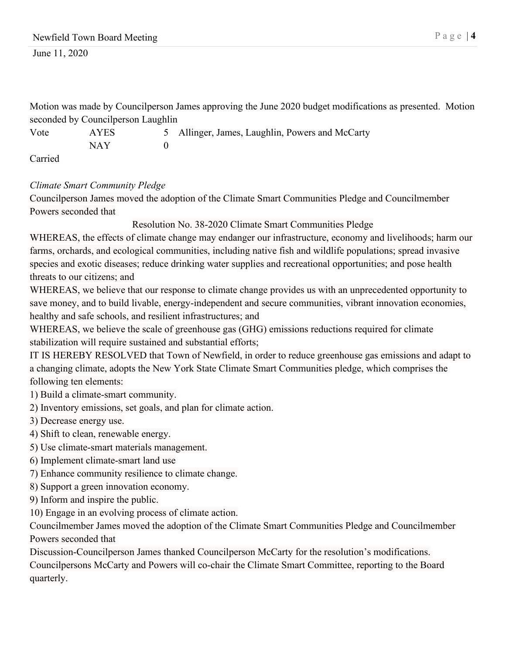Motion was made by Councilperson James approving the June 2020 budget modifications as presented. Motion seconded by Councilperson Laughlin

Vote AYES 5 Allinger, James, Laughlin, Powers and McCarty NAY 0

Carried

## *Climate Smart Community Pledge*

Councilperson James moved the adoption of the Climate Smart Communities Pledge and Councilmember Powers seconded that

Resolution No. 38-2020 Climate Smart Communities Pledge

WHEREAS, the effects of climate change may endanger our infrastructure, economy and livelihoods; harm our farms, orchards, and ecological communities, including native fish and wildlife populations; spread invasive species and exotic diseases; reduce drinking water supplies and recreational opportunities; and pose health threats to our citizens; and

WHEREAS, we believe that our response to climate change provides us with an unprecedented opportunity to save money, and to build livable, energy-independent and secure communities, vibrant innovation economies, healthy and safe schools, and resilient infrastructures; and

WHEREAS, we believe the scale of greenhouse gas (GHG) emissions reductions required for climate stabilization will require sustained and substantial efforts;

IT IS HEREBY RESOLVED that Town of Newfield, in order to reduce greenhouse gas emissions and adapt to a changing climate, adopts the New York State Climate Smart Communities pledge, which comprises the following ten elements:

1) Build a climate-smart community.

2) Inventory emissions, set goals, and plan for climate action.

3) Decrease energy use.

4) Shift to clean, renewable energy.

5) Use climate-smart materials management.

6) Implement climate-smart land use

7) Enhance community resilience to climate change.

8) Support a green innovation economy.

9) Inform and inspire the public.

10) Engage in an evolving process of climate action.

Councilmember James moved the adoption of the Climate Smart Communities Pledge and Councilmember Powers seconded that

Discussion-Councilperson James thanked Councilperson McCarty for the resolution's modifications. Councilpersons McCarty and Powers will co-chair the Climate Smart Committee, reporting to the Board quarterly.